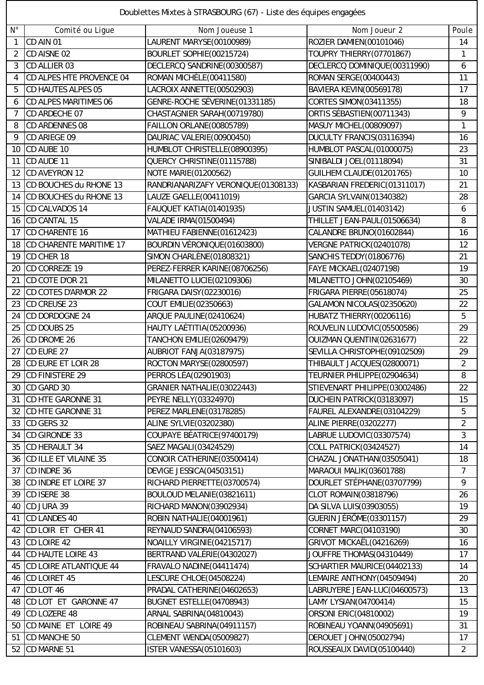| Doublettes Mixtes à STRASBOURG (67) - Liste des équipes engagées |  |  |  |  |  |
|------------------------------------------------------------------|--|--|--|--|--|
|------------------------------------------------------------------|--|--|--|--|--|

| $N^{\circ}$    | Comité ou Ligue               | Nom Joueuse 1                       | Nom Joueur 2                    | Poule          |
|----------------|-------------------------------|-------------------------------------|---------------------------------|----------------|
| $\mathbf{1}$   | CD AIN 01                     | LAURENT MARYSE(00100989)            | ROZIER DAMIEN(00101046)         | 14             |
| 2              | CD AISNE 02                   | BOURLET SOPHIE(00215724)            | TOUPRY THIERRY(07701867)        | 1              |
| 3              | CD ALLIER 03                  | DECLERCQ SANDRINE(00300587)         | DECLERCQ DOMINIQUE(00311990)    | 6              |
| $\overline{4}$ | CD ALPES HTE PROVENCE 04      | ROMAN MICHÈLE(00411580)             | <b>ROMAN SERGE(00400443)</b>    | 11             |
| 5              | <b>CD HAUTES ALPES 05</b>     | LACROIX ANNETTE(00502903)           | BAVIERA KEVIN(00569178)         | 17             |
| 6              | <b>CD ALPES MARITIMES 06</b>  | GENRE-ROCHE SÉVERINE(01331185)      | <b>CORTES SIMON(03411355)</b>   | 18             |
| 7              | CD ARDECHE 07                 | CHASTAGNIER SARAH(00719780)         | ORTIS SÉBASTIEN(00711343)       | 9              |
| 8              | CD ARDENNES 08                | FAILLON ORLANE(00805789)            | MASUY MICHEL(00809097)          | 1              |
| 9              | CD ARIEGE 09                  | DAURIAC VALERIE(00900450)           | DUCULTY FRANCIS(03116394)       | 16             |
| 10             | CD AUBE 10                    | HUMBLOT CHRISTELLE(08900395)        | HUMBLOT PASCAL(01000075)        | 23             |
| 11             | CD AUDE 11                    | QUERCY CHRISTINE(01115788)          | SINIBALDI JOEL(01118094)        | 31             |
| 12             | <b>CD AVEYRON 12</b>          | <b>NOTE MARIE(01200562)</b>         | GUILHEM CLAUDE(01201765)        | 10             |
| 13             | CD BOUCHES du RHONE 13        | RANDRIANARIZAFY VERONIQUE(01308133) | KASBARIAN FREDERIC(01311017)    | 21             |
| 14             | CD BOUCHES du RHONE 13        | LAUZE GAELLE(00411019)              | GARCIA SYLVAIN(01340382)        | 28             |
| 15             | CD CALVADOS 14                | FAUQUET KATIA(01401935)             | JUSTIN SAMUEL(01403142)         | 6              |
| 16             | CD CANTAL 15                  | <b>VALADE IRMA(01500494)</b>        | THILLET JEAN-PAUL(01506634)     | 8              |
| 17             | CD CHARENTE 16                | MATHIEU FABIENNE(01612423)          | CALANDRE BRUNO(01602844)        | 16             |
| 18             | CD CHARENTE MARITIME 17       | BOURDIN VÉRONIQUE (01603800)        | VERGNE PATRICK(02401078)        | 12             |
| 19             | CD CHER 18                    | <b>SIMON CHARLÈNE (01808321)</b>    | SANCHIS TEDDY (01806776)        | 21             |
| 20             | CD CORREZE 19                 | PEREZ-FERRER KARINE(08706256)       | FAYE MICKAEL(02407198)          | 19             |
| 21             | CD COTE D'OR 21               | MILANETTO LUCIE(02109306)           | MILANETTO JOHN(02105469)        | 30             |
| 22             | <b>CD COTES D'ARMOR 22</b>    | FRIGARA DAISY (02230016)            | FRIGARA PIERRE(05618074)        | 25             |
| 23             | <b>CD CREUSE 23</b>           | COUT EMILIE(02350663)               | GALAMON NICOLAS(02350620)       | 22             |
| 24             | CD DORDOGNE 24                | ARQUE PAULINE(02410624)             | HUBATZ THIERRY (00206116)       | 5              |
| 25             | CD DOUBS 25                   | HAUTY LAÉTITIA(05200936)            | ROUVELIN LUDOVIC(05500586)      | 29             |
| 26             | CD DROME 26                   | <b>TANCHON EMILIE(02609479)</b>     | OUIZMAN QUENTIN(02631677)       | 22             |
| 27             | CD EURE 27                    | AUBRIOT FANJA(03187975)             | SEVILLA CHRISTOPHE(09102509)    | 29             |
| 28             | CD EURE ET LOIR 28            | ROCTON MARYSE(02800597)             | THIBAULT JACQUES(02800071)      | $\overline{2}$ |
| 29             | <b>CD FINISTERE 29</b>        | PERROS LÉA(02901903)                | TEURNIER PHILIPPE(02904634)     | 8              |
| 30             | CD GARD 30                    | GRANIER NATHALIE(03022443)          | STIEVENART PHILIPPE(03002486)   | 22             |
| 31             | CD HTE GARONNE 31             | PEYRE NELLY(03324970)               | DUCHEIN PATRICK(03183097)       | 15             |
|                |                               |                                     |                                 |                |
|                | 32 CD HTE GARONNE 31          | PEREZ MARLENE(03178285)             | FAUREL ALEXANDRE(03104229)      | 5              |
| 33             | CD GERS 32                    | ALINE SYLVIE(03202380)              | <b>ALINE PIERRE(03202277)</b>   | $\overline{2}$ |
| 34             | CD GIRONDE 33                 | COUPAYE BÉATRICE (97400179)         | LABRUE LUDOVIC(03307574)        | 3              |
| 35             | CD HERAULT 34                 | SAEZ MAGALI(03424529)               | <b>COLL PATRICK(03424527)</b>   | 14             |
| 36             | CD ILLE ET VILAINE 35         | CONOIR CATHERINE(03500414)          | CHAZAL JONATHAN(03505041)       | 18             |
| 37             | CD INDRE 36                   | DEVIGE JESSICA(04503151)            | MARAOUI MALIK(03601788)         | $\overline{7}$ |
| 38             | CD INDRE ET LOIRE 37          | RICHARD PIERRETTE(03700574)         | DOURLET STÉPHANE(03707799)      | 9              |
| 39             | CD ISERE 38                   | BOULOUD MELANIE(03821611)           | CLOT ROMAIN(03818796)           | 26             |
| 40             | CD JURA 39                    | RICHARD MANON(03902934)             | DA SILVA LUIS(03903055)         | 19             |
| 41             | <b>CD LANDES 40</b>           | ROBIN NATHALIE(04001961)            | <b>GUERIN JÉRÔME (03301157)</b> | 29             |
| 42             | CD LOIR ET CHER 41            | REYNAUD SANDRA(04106593)            | CORNET MARC(04103190)           | 30             |
| 43             | CD LOIRE 42                   | NOAILLY VIRGINIE (04215717)         | GRIVOT MICKAËL(04216269)        | 16             |
| 44             | CD HAUTE LOIRE 43             | BERTRAND VALÉRIE(04302027)          | JOUFFRE THOMAS(04310449)        | 17             |
| 45             | <b>CD LOIRE ATLANTIQUE 44</b> | FRAVALO NADINE(04411474)            | SCHARTIER MAURICE(04402133)     | 14             |
| 46             | CD LOIRET 45                  | LESCURE CHLOE(04508224)             | LEMAIRE ANTHONY (04509494)      | 20             |
| 47             | CD LOT 46                     | PRADAL CATHERINE(04602653)          | LABRUYERE JEAN-LUC(04600573)    | 13             |
| 48             | CD LOT ET GARONNE 47          | BUGNET ESTELLE(04708943)            | LAMY LYSIAN(04700414)           | 15             |
| 49             | CD LOZERE 48                  | ARNAL SABRINA(04810043)             | <b>ORSONI ERIC(04810002)</b>    | 19             |
| 50             | CD MAINE ET LOIRE 49          | ROBINEAU SABRINA(04911157)          | ROBINEAU YOANN(04905691)        | 31             |
| 51             | CD MANCHE 50                  | <b>CLEMENT WENDA(05009827)</b>      | <b>DEROUET JOHN(05002794)</b>   | 17             |
|                | 52 CD MARNE 51                | ISTER VANESSA(05101603)             | ROUSSEAUX DAVID(05100440)       | $\overline{2}$ |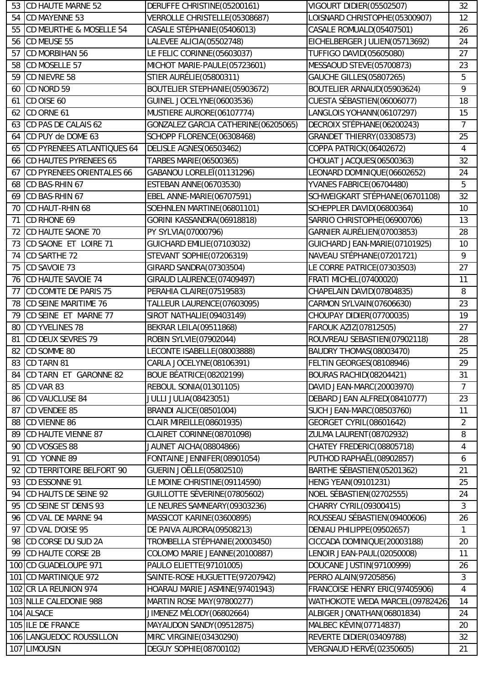| 53 | CD HAUTE MARNE 52          | DERUFFE CHRISTINE(05200161)         | VIGOURT DIDIER(05502507)        | 32              |
|----|----------------------------|-------------------------------------|---------------------------------|-----------------|
| 54 | CD MAYENNE 53              | VERROLLE CHRISTELLE(05308687)       | LOISNARD CHRISTOPHE(05300907)   | 12              |
| 55 | CD MEURTHE & MOSELLE 54    | CASALE STÉPHANIE (05406013)         | CASALE ROMUALD(05407501)        | 26              |
| 56 | CD MEUSE 55                | LALEVEE ALICIA(05502748)            | EICHELBERGER JULIEN(05713692)   | 24              |
| 57 | <b>CD MORBIHAN 56</b>      | LE FELIC CORINNE(05603037)          | <b>TUFFIGO DAVID(05605080)</b>  | 27              |
| 58 | CD MOSELLE 57              | MICHOT MARIE-PAULE(05723601)        | MESSAOUD STEVE(05700873)        | 23              |
| 59 | CD NIEVRE 58               | <b>STIER AURÉLIE (05800311)</b>     | <b>GAUCHE GILLES(05807265)</b>  | 5               |
| 60 | CD NORD 59                 | BOUTELIER STEPHANIE(05903672)       | BOUTELIER ARNAUD(05903624)      | 9               |
| 61 | CD OISE 60                 | GUINEL JOCELYNE(06003536)           | CUESTA SÉBASTIEN(06006077)      | 18              |
| 62 | CD ORNE 61                 | MUSTIERE AURORE(06107774)           | LANGLOIS YOHANN(06107297)       | 15              |
| 63 | CD PAS DE CALAIS 62        | GONZALEZ GARCIA CATHERINE(06205065) | DECROIX STÉPHANE(06200243)      | 7               |
| 64 | CD PUY de DOME 63          | SCHOPP FLORENCE(06308468)           | GRANDET THIERRY(03308573)       | 25              |
| 65 | CD PYRENEES ATLANTIQUES 64 | <b>DELISLE AGNES(06503462)</b>      | COPPA PATRICK(06402672)         | 4               |
| 66 | CD HAUTES PYRENEES 65      | TARBES MARIE(06500365)              | CHOUAT JACQUES(06500363)        | 32              |
| 67 | CD PYRENEES ORIENTALES 66  | GABANOU LORELEÏ(01131296)           | LEONARD DOMINIQUE(06602652)     | 24              |
| 68 | CD BAS-RHIN 67             | ESTEBAN ANNE(06703530)              | YVANES FABRICE(06704480)        | 5               |
| 69 | CD BAS-RHIN 67             | EBEL ANNE-MARIE(06707591)           | SCHWEIGKART STÉPHANE(06701108)  | 32              |
| 70 | CD HAUT-RHIN 68            | SOEHNLEN MARTINE(06801101)          | SCHEPPLER DAVID(06800364)       | 10              |
| 71 | CD RHONE 69                | GORINI KASSANDRA(06918818)          | SARRIO CHRISTOPHE(06900706)     | 13              |
| 72 | CD HAUTE SAONE 70          | PY SYLVIA(07000796)                 | GARNIER AURÉLIEN(07003853)      | 28              |
| 73 | CD SAONE ET LOIRE 71       | GUICHARD EMILIE(07103032)           | GUICHARD JEAN-MARIE(07101925)   | 10 <sup>°</sup> |
| 74 | CD SARTHE 72               | STEVANT SOPHIE(07206319)            | NAVEAU STÉPHANE(07201721)       | 9               |
| 75 | CD SAVOIE 73               | GIRARD SANDRA(07303504)             | LE CORRE PATRICE(07303503)      | 27              |
| 76 | CD HAUTE SAVOIE 74         | GIRAUD LAURENCE(07409497)           | <b>FRATI MICHEL (07400020)</b>  | 11              |
| 77 | CD COMITE DE PARIS 75      | PERAHIA CLAIRE(07519583)            | CHAPELAIN DAVID(07804835)       | 8               |
| 78 | CD SEINE MARITIME 76       | TALLEUR LAURENCE(07603095)          | CARMON SYLVAIN(07606630)        | 23              |
| 79 | CD SEINE ET MARNE 77       | SIROT NATHALIE(09403149)            | CHOUPAY DIDIER(07700035)        | 19              |
| 80 | <b>CD YVELINES 78</b>      | BEKRAR LEILA(09511868)              | FAROUK AZIZ(07812505)           | 27              |
| 81 | CD DEUX SEVRES 79          | ROBIN SYLVIE(07902044)              | ROUVREAU SEBASTIEN(07902118)    | 28              |
| 82 | CD SOMME 80                | LECONTE ISABELLE(08003888)          | BAUDRY THOMAS(08003470)         | 25              |
|    | 83 CD TARN 81              | CARLA JOCELYNE(08106391)            | FELTIN GEORGES(08108946)        | 29              |
| 84 | CD TARN ET GARONNE 82      | BOUE BÉATRICE(08202199)             | BOURAS RACHID(08204421)         | 31              |
| 85 | CD VAR 83                  | <b>REBOUL SONIA(01301105)</b>       | DAVID JEAN-MARC(20003970)       | $\overline{7}$  |
| 86 | <b>CD VAUCLUSE 84</b>      | <b>JULLI JULIA(08423051)</b>        | DEBARD JEAN ALFRED(08410777)    | 23              |
| 87 | CD VENDEE 85               | <b>BRANDI ALICE(08501004)</b>       | <b>SUCH JEAN-MARC(08503760)</b> | 11              |
| 88 | CD VIENNE 86               | <b>CLAIR MIREILLE (08601935)</b>    | <b>GEORGET CYRIL(08601642)</b>  | $\overline{c}$  |
| 89 | CD HAUTE VIENNE 87         | CLAIRET CORINNE(08701098)           | ZULMA LAURENT (08702932)        | 8               |
| 90 | CD VOSGES 88               | JAUNET AICHA(08804866)              | CHATEY FREDERIC(08805718)       | 4               |
| 91 | CD YONNE 89                | FONTAINE JENNIFER(08901054)         | PUTHOD RAPHAËL(08902857)        | 6               |
| 92 | CD TERRITOIRE BELFORT 90   | <b>GUERIN JOËLLE (05802510)</b>     | BARTHE SÉBASTIEN(05201362)      | 21              |
| 93 | CD ESSONNE 91              | LE MOINE CHRISTINE(09114590)        | <b>HENG YEAN(09101231)</b>      | 25              |
| 94 | CD HAUTS DE SEINE 92       | GUILLOTTE SÉVERINE (07805602)       | NOEL SÉBASTIEN(02702555)        | 24              |
| 95 | CD SEINE ST DENIS 93       | LE NEURES SAMNEARY(09303236)        | CHARRY CYRIL(09300415)          | 3               |
| 96 | CD VAL DE MARNE 94         | MASSICOT KARINE(03600895)           | ROUSSEAU SÉBASTIEN (09400606)   | 26              |
| 97 | CD VAL D'OISE 95           | DE PAIVA AURORA(09508213)           | DENIAU PHILIPPE(09502657)       | 1               |
| 98 | CD CORSE DU SUD 2A         | TROMBELLA STÉPHANIE(20003450)       | CICCADA DOMINIQUE(20003188)     | 20              |
| 99 | <b>CD HAUTE CORSE 2B</b>   | COLOMO MARIE JEANNE(20100887)       | LENOIR JEAN-PAUL(02050008)      | 11              |
|    | 100 CD GUADELOUPE 971      | PAULO ELIETTE(97101005)             | DOUCANE JUSTIN(97100999)        | 26              |
|    | 101 CD MARTINIQUE 972      | SAINTE-ROSE HUGUETTE(97207942)      | PERRO ALAIN(97205856)           | 3               |
|    | 102 CR LA REUNION 974      | HOARAU MARIE JASMINE(97401943)      | FRANCOISE HENRY ERIC(97405906)  | 4               |
|    | 103 NLLE CALEDONIE 988     | MARTIN ROSE MAY(97800277)           | WATHOKOTE WEDA MARCEL(09782426) | 14              |
|    | 104 ALSACE                 | JIMENEZ MÉLODY(06802664)            | ALBIGER JONATHAN(06801834)      | 24              |
|    | 105 ILE DE FRANCE          | MAYAUDON SANDY (09512875)           | <b>MALBEC KÉVIN(07714837)</b>   | 20              |
|    | 106 LANGUEDOC ROUSSILLON   | MIRC VIRGINIE (03430290)            | REVERTE DIDIER(03409788)        | 32              |
|    | 107 LIMOUSIN               | <b>DEGUY SOPHIE (08700102)</b>      | VERGNAUD HERVÉ(02350605)        | 21              |
|    |                            |                                     |                                 |                 |